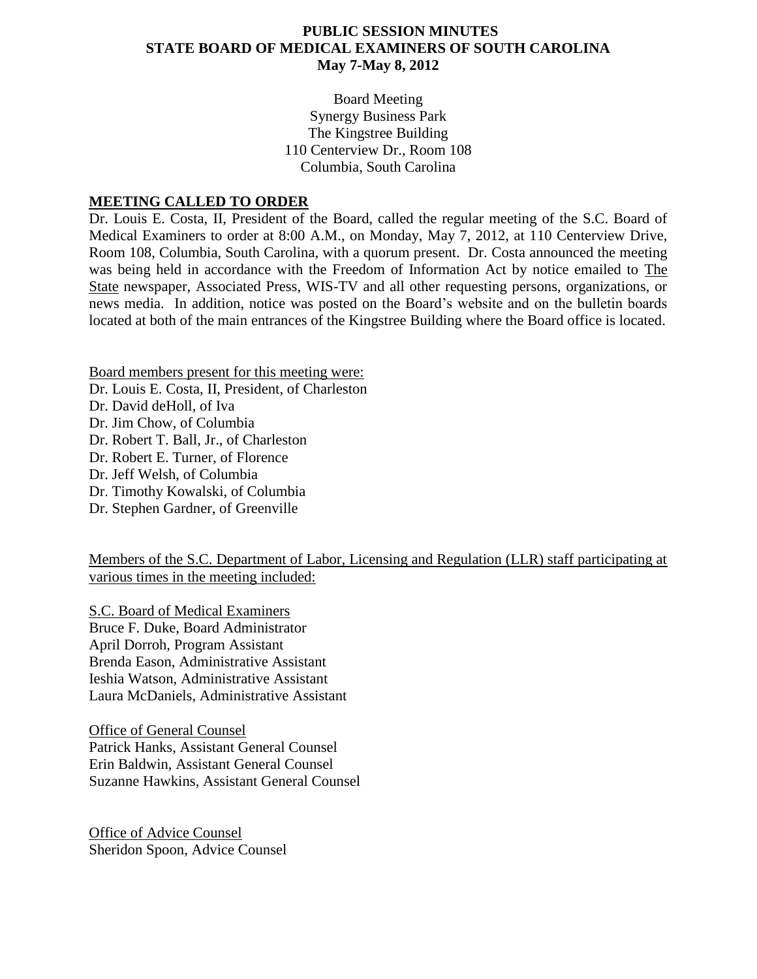## **PUBLIC SESSION MINUTES STATE BOARD OF MEDICAL EXAMINERS OF SOUTH CAROLINA May 7-May 8, 2012**

Board Meeting Synergy Business Park The Kingstree Building 110 Centerview Dr., Room 108 Columbia, South Carolina

#### **MEETING CALLED TO ORDER**

Dr. Louis E. Costa, II, President of the Board, called the regular meeting of the S.C. Board of Medical Examiners to order at 8:00 A.M., on Monday, May 7, 2012, at 110 Centerview Drive, Room 108, Columbia, South Carolina, with a quorum present. Dr. Costa announced the meeting was being held in accordance with the Freedom of Information Act by notice emailed to The State newspaper, Associated Press, WIS-TV and all other requesting persons, organizations, or news media. In addition, notice was posted on the Board's website and on the bulletin boards located at both of the main entrances of the Kingstree Building where the Board office is located.

Board members present for this meeting were: Dr. Louis E. Costa, II, President, of Charleston Dr. David deHoll, of Iva Dr. Jim Chow, of Columbia Dr. Robert T. Ball, Jr., of Charleston Dr. Robert E. Turner, of Florence Dr. Jeff Welsh, of Columbia Dr. Timothy Kowalski, of Columbia Dr. Stephen Gardner, of Greenville

Members of the S.C. Department of Labor, Licensing and Regulation (LLR) staff participating at various times in the meeting included:

S.C. Board of Medical Examiners Bruce F. Duke, Board Administrator April Dorroh, Program Assistant Brenda Eason, Administrative Assistant Ieshia Watson, Administrative Assistant Laura McDaniels, Administrative Assistant

Office of General Counsel Patrick Hanks, Assistant General Counsel Erin Baldwin, Assistant General Counsel Suzanne Hawkins, Assistant General Counsel

Office of Advice Counsel Sheridon Spoon, Advice Counsel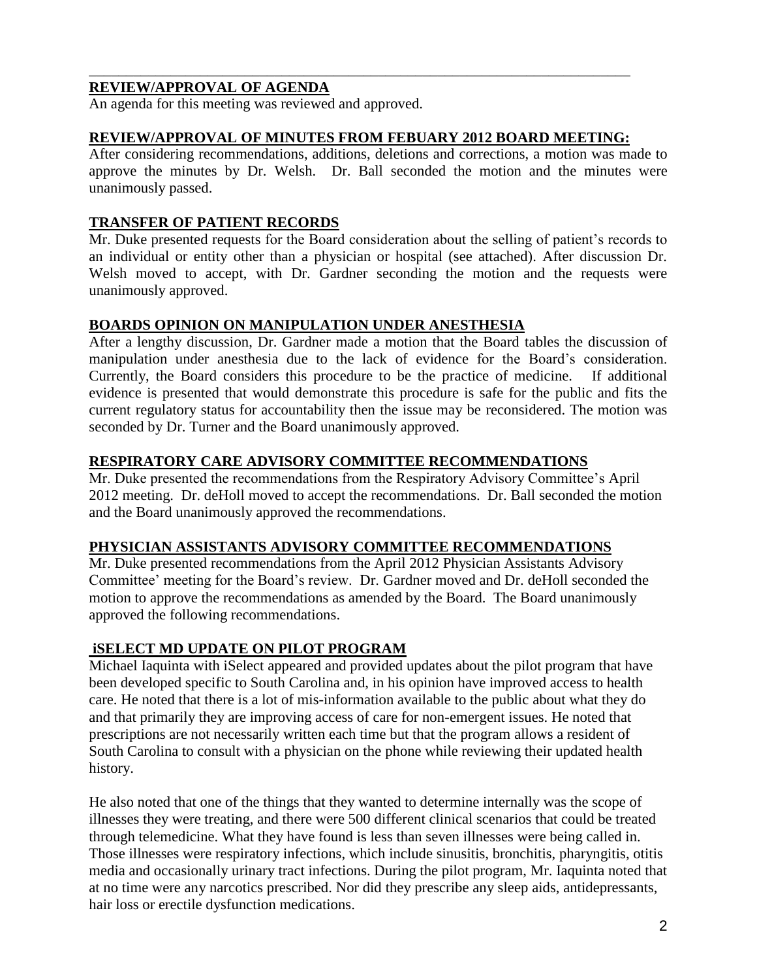# **REVIEW/APPROVAL OF AGENDA**

An agenda for this meeting was reviewed and approved.

### **REVIEW/APPROVAL OF MINUTES FROM FEBUARY 2012 BOARD MEETING:**

\_\_\_\_\_\_\_\_\_\_\_\_\_\_\_\_\_\_\_\_\_\_\_\_\_\_\_\_\_\_\_\_\_\_\_\_\_\_\_\_\_\_\_\_\_\_\_\_\_\_\_\_\_\_\_\_\_\_\_\_\_\_\_\_\_\_\_\_\_\_\_\_\_

After considering recommendations, additions, deletions and corrections, a motion was made to approve the minutes by Dr. Welsh. Dr. Ball seconded the motion and the minutes were unanimously passed.

### **TRANSFER OF PATIENT RECORDS**

Mr. Duke presented requests for the Board consideration about the selling of patient's records to an individual or entity other than a physician or hospital (see attached). After discussion Dr. Welsh moved to accept, with Dr. Gardner seconding the motion and the requests were unanimously approved.

### **BOARDS OPINION ON MANIPULATION UNDER ANESTHESIA**

After a lengthy discussion, Dr. Gardner made a motion that the Board tables the discussion of manipulation under anesthesia due to the lack of evidence for the Board's consideration. Currently, the Board considers this procedure to be the practice of medicine. If additional evidence is presented that would demonstrate this procedure is safe for the public and fits the current regulatory status for accountability then the issue may be reconsidered. The motion was seconded by Dr. Turner and the Board unanimously approved.

### **RESPIRATORY CARE ADVISORY COMMITTEE RECOMMENDATIONS**

Mr. Duke presented the recommendations from the Respiratory Advisory Committee's April 2012 meeting. Dr. deHoll moved to accept the recommendations. Dr. Ball seconded the motion and the Board unanimously approved the recommendations.

#### **PHYSICIAN ASSISTANTS ADVISORY COMMITTEE RECOMMENDATIONS**

Mr. Duke presented recommendations from the April 2012 Physician Assistants Advisory Committee' meeting for the Board's review. Dr. Gardner moved and Dr. deHoll seconded the motion to approve the recommendations as amended by the Board. The Board unanimously approved the following recommendations.

## **iSELECT MD UPDATE ON PILOT PROGRAM**

Michael Iaquinta with iSelect appeared and provided updates about the pilot program that have been developed specific to South Carolina and, in his opinion have improved access to health care. He noted that there is a lot of mis-information available to the public about what they do and that primarily they are improving access of care for non-emergent issues. He noted that prescriptions are not necessarily written each time but that the program allows a resident of South Carolina to consult with a physician on the phone while reviewing their updated health history.

He also noted that one of the things that they wanted to determine internally was the scope of illnesses they were treating, and there were 500 different clinical scenarios that could be treated through telemedicine. What they have found is less than seven illnesses were being called in. Those illnesses were respiratory infections, which include sinusitis, bronchitis, pharyngitis, otitis media and occasionally urinary tract infections. During the pilot program, Mr. Iaquinta noted that at no time were any narcotics prescribed. Nor did they prescribe any sleep aids, antidepressants, hair loss or erectile dysfunction medications.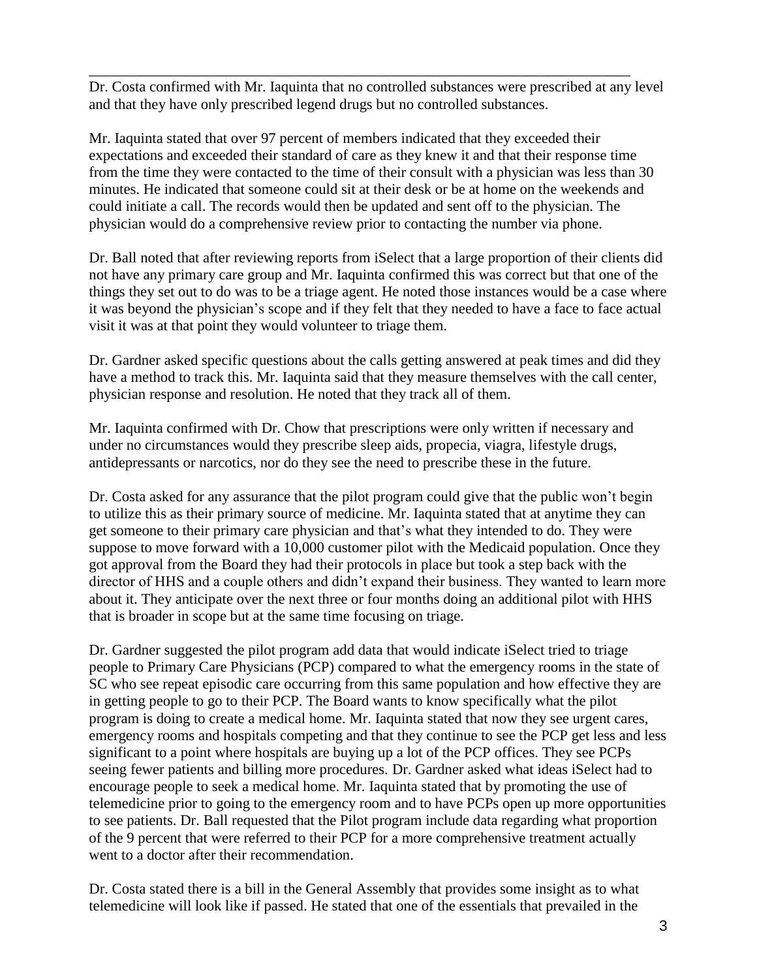Dr. Costa confirmed with Mr. Iaquinta that no controlled substances were prescribed at any level and that they have only prescribed legend drugs but no controlled substances.

\_\_\_\_\_\_\_\_\_\_\_\_\_\_\_\_\_\_\_\_\_\_\_\_\_\_\_\_\_\_\_\_\_\_\_\_\_\_\_\_\_\_\_\_\_\_\_\_\_\_\_\_\_\_\_\_\_\_\_\_\_\_\_\_\_\_\_\_\_\_\_\_\_

Mr. Iaquinta stated that over 97 percent of members indicated that they exceeded their expectations and exceeded their standard of care as they knew it and that their response time from the time they were contacted to the time of their consult with a physician was less than 30 minutes. He indicated that someone could sit at their desk or be at home on the weekends and could initiate a call. The records would then be updated and sent off to the physician. The physician would do a comprehensive review prior to contacting the number via phone.

Dr. Ball noted that after reviewing reports from iSelect that a large proportion of their clients did not have any primary care group and Mr. Iaquinta confirmed this was correct but that one of the things they set out to do was to be a triage agent. He noted those instances would be a case where it was beyond the physician's scope and if they felt that they needed to have a face to face actual visit it was at that point they would volunteer to triage them.

Dr. Gardner asked specific questions about the calls getting answered at peak times and did they have a method to track this. Mr. Iaquinta said that they measure themselves with the call center, physician response and resolution. He noted that they track all of them.

Mr. Iaquinta confirmed with Dr. Chow that prescriptions were only written if necessary and under no circumstances would they prescribe sleep aids, propecia, viagra, lifestyle drugs, antidepressants or narcotics, nor do they see the need to prescribe these in the future.

Dr. Costa asked for any assurance that the pilot program could give that the public won't begin to utilize this as their primary source of medicine. Mr. Iaquinta stated that at anytime they can get someone to their primary care physician and that's what they intended to do. They were suppose to move forward with a 10,000 customer pilot with the Medicaid population. Once they got approval from the Board they had their protocols in place but took a step back with the director of HHS and a couple others and didn't expand their business. They wanted to learn more about it. They anticipate over the next three or four months doing an additional pilot with HHS that is broader in scope but at the same time focusing on triage.

Dr. Gardner suggested the pilot program add data that would indicate iSelect tried to triage people to Primary Care Physicians (PCP) compared to what the emergency rooms in the state of SC who see repeat episodic care occurring from this same population and how effective they are in getting people to go to their PCP. The Board wants to know specifically what the pilot program is doing to create a medical home. Mr. Iaquinta stated that now they see urgent cares, emergency rooms and hospitals competing and that they continue to see the PCP get less and less significant to a point where hospitals are buying up a lot of the PCP offices. They see PCPs seeing fewer patients and billing more procedures. Dr. Gardner asked what ideas iSelect had to encourage people to seek a medical home. Mr. Iaquinta stated that by promoting the use of telemedicine prior to going to the emergency room and to have PCPs open up more opportunities to see patients. Dr. Ball requested that the Pilot program include data regarding what proportion of the 9 percent that were referred to their PCP for a more comprehensive treatment actually went to a doctor after their recommendation.

Dr. Costa stated there is a bill in the General Assembly that provides some insight as to what telemedicine will look like if passed. He stated that one of the essentials that prevailed in the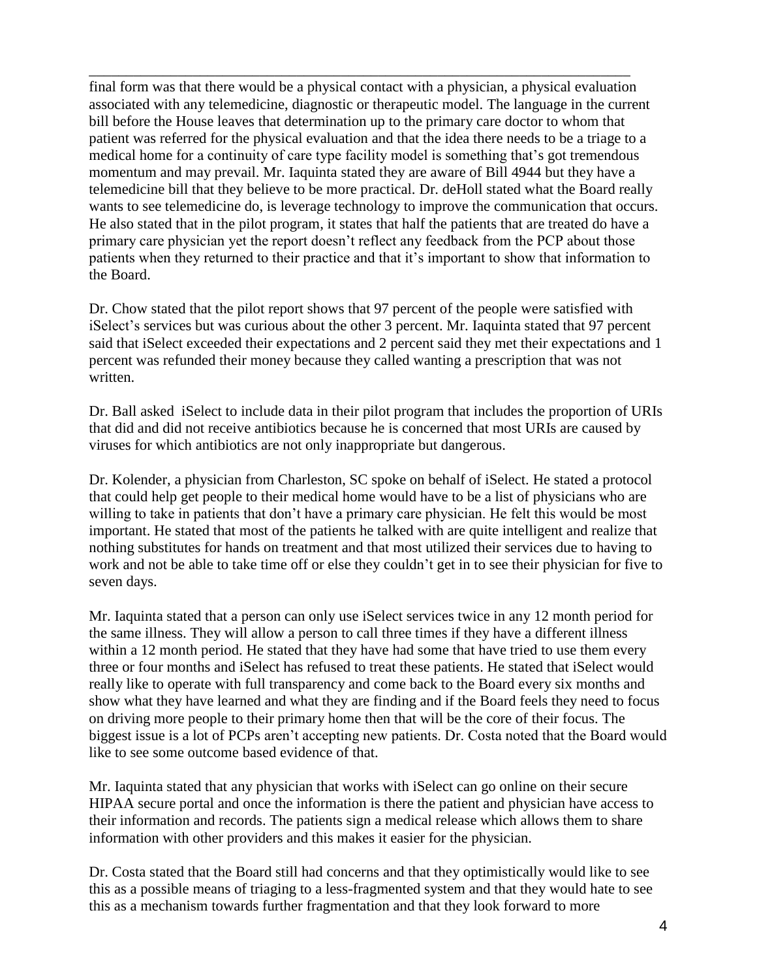final form was that there would be a physical contact with a physician, a physical evaluation associated with any telemedicine, diagnostic or therapeutic model. The language in the current bill before the House leaves that determination up to the primary care doctor to whom that patient was referred for the physical evaluation and that the idea there needs to be a triage to a medical home for a continuity of care type facility model is something that's got tremendous momentum and may prevail. Mr. Iaquinta stated they are aware of Bill 4944 but they have a telemedicine bill that they believe to be more practical. Dr. deHoll stated what the Board really wants to see telemedicine do, is leverage technology to improve the communication that occurs. He also stated that in the pilot program, it states that half the patients that are treated do have a primary care physician yet the report doesn't reflect any feedback from the PCP about those patients when they returned to their practice and that it's important to show that information to the Board.

\_\_\_\_\_\_\_\_\_\_\_\_\_\_\_\_\_\_\_\_\_\_\_\_\_\_\_\_\_\_\_\_\_\_\_\_\_\_\_\_\_\_\_\_\_\_\_\_\_\_\_\_\_\_\_\_\_\_\_\_\_\_\_\_\_\_\_\_\_\_\_\_\_

Dr. Chow stated that the pilot report shows that 97 percent of the people were satisfied with iSelect's services but was curious about the other 3 percent. Mr. Iaquinta stated that 97 percent said that iSelect exceeded their expectations and 2 percent said they met their expectations and 1 percent was refunded their money because they called wanting a prescription that was not written.

Dr. Ball asked iSelect to include data in their pilot program that includes the proportion of URIs that did and did not receive antibiotics because he is concerned that most URIs are caused by viruses for which antibiotics are not only inappropriate but dangerous.

Dr. Kolender, a physician from Charleston, SC spoke on behalf of iSelect. He stated a protocol that could help get people to their medical home would have to be a list of physicians who are willing to take in patients that don't have a primary care physician. He felt this would be most important. He stated that most of the patients he talked with are quite intelligent and realize that nothing substitutes for hands on treatment and that most utilized their services due to having to work and not be able to take time off or else they couldn't get in to see their physician for five to seven days.

Mr. Iaquinta stated that a person can only use iSelect services twice in any 12 month period for the same illness. They will allow a person to call three times if they have a different illness within a 12 month period. He stated that they have had some that have tried to use them every three or four months and iSelect has refused to treat these patients. He stated that iSelect would really like to operate with full transparency and come back to the Board every six months and show what they have learned and what they are finding and if the Board feels they need to focus on driving more people to their primary home then that will be the core of their focus. The biggest issue is a lot of PCPs aren't accepting new patients. Dr. Costa noted that the Board would like to see some outcome based evidence of that.

Mr. Iaquinta stated that any physician that works with iSelect can go online on their secure HIPAA secure portal and once the information is there the patient and physician have access to their information and records. The patients sign a medical release which allows them to share information with other providers and this makes it easier for the physician.

Dr. Costa stated that the Board still had concerns and that they optimistically would like to see this as a possible means of triaging to a less-fragmented system and that they would hate to see this as a mechanism towards further fragmentation and that they look forward to more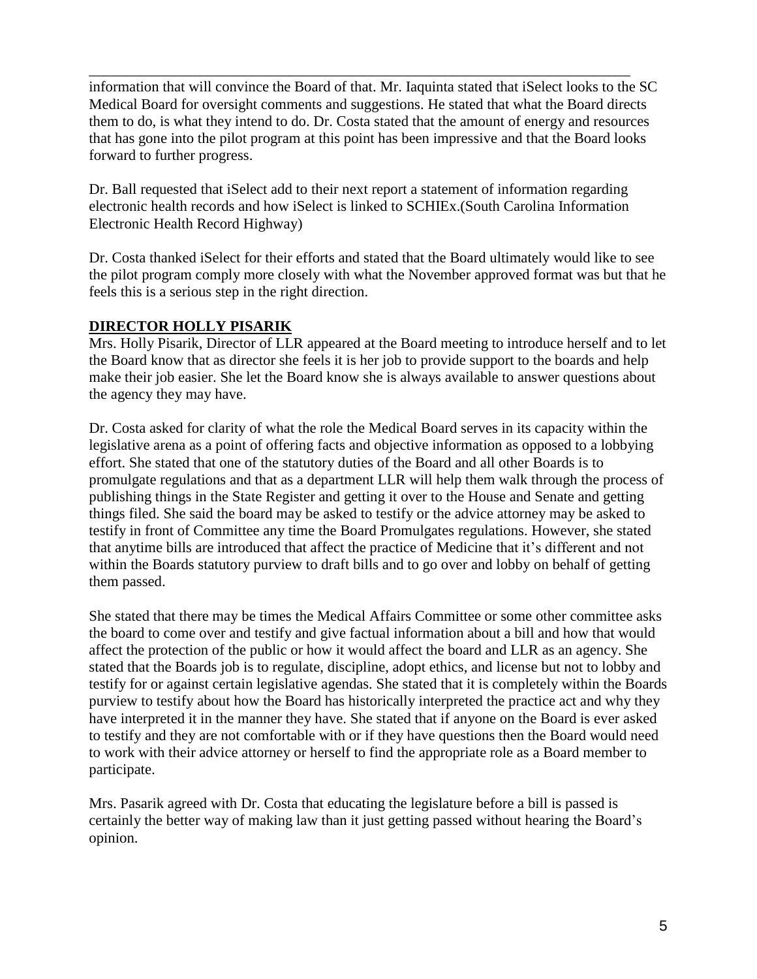information that will convince the Board of that. Mr. Iaquinta stated that iSelect looks to the SC Medical Board for oversight comments and suggestions. He stated that what the Board directs them to do, is what they intend to do. Dr. Costa stated that the amount of energy and resources that has gone into the pilot program at this point has been impressive and that the Board looks forward to further progress.

\_\_\_\_\_\_\_\_\_\_\_\_\_\_\_\_\_\_\_\_\_\_\_\_\_\_\_\_\_\_\_\_\_\_\_\_\_\_\_\_\_\_\_\_\_\_\_\_\_\_\_\_\_\_\_\_\_\_\_\_\_\_\_\_\_\_\_\_\_\_\_\_\_

Dr. Ball requested that iSelect add to their next report a statement of information regarding electronic health records and how iSelect is linked to SCHIEx.(South Carolina Information Electronic Health Record Highway)

Dr. Costa thanked iSelect for their efforts and stated that the Board ultimately would like to see the pilot program comply more closely with what the November approved format was but that he feels this is a serious step in the right direction.

# **DIRECTOR HOLLY PISARIK**

Mrs. Holly Pisarik, Director of LLR appeared at the Board meeting to introduce herself and to let the Board know that as director she feels it is her job to provide support to the boards and help make their job easier. She let the Board know she is always available to answer questions about the agency they may have.

Dr. Costa asked for clarity of what the role the Medical Board serves in its capacity within the legislative arena as a point of offering facts and objective information as opposed to a lobbying effort. She stated that one of the statutory duties of the Board and all other Boards is to promulgate regulations and that as a department LLR will help them walk through the process of publishing things in the State Register and getting it over to the House and Senate and getting things filed. She said the board may be asked to testify or the advice attorney may be asked to testify in front of Committee any time the Board Promulgates regulations. However, she stated that anytime bills are introduced that affect the practice of Medicine that it's different and not within the Boards statutory purview to draft bills and to go over and lobby on behalf of getting them passed.

She stated that there may be times the Medical Affairs Committee or some other committee asks the board to come over and testify and give factual information about a bill and how that would affect the protection of the public or how it would affect the board and LLR as an agency. She stated that the Boards job is to regulate, discipline, adopt ethics, and license but not to lobby and testify for or against certain legislative agendas. She stated that it is completely within the Boards purview to testify about how the Board has historically interpreted the practice act and why they have interpreted it in the manner they have. She stated that if anyone on the Board is ever asked to testify and they are not comfortable with or if they have questions then the Board would need to work with their advice attorney or herself to find the appropriate role as a Board member to participate.

Mrs. Pasarik agreed with Dr. Costa that educating the legislature before a bill is passed is certainly the better way of making law than it just getting passed without hearing the Board's opinion.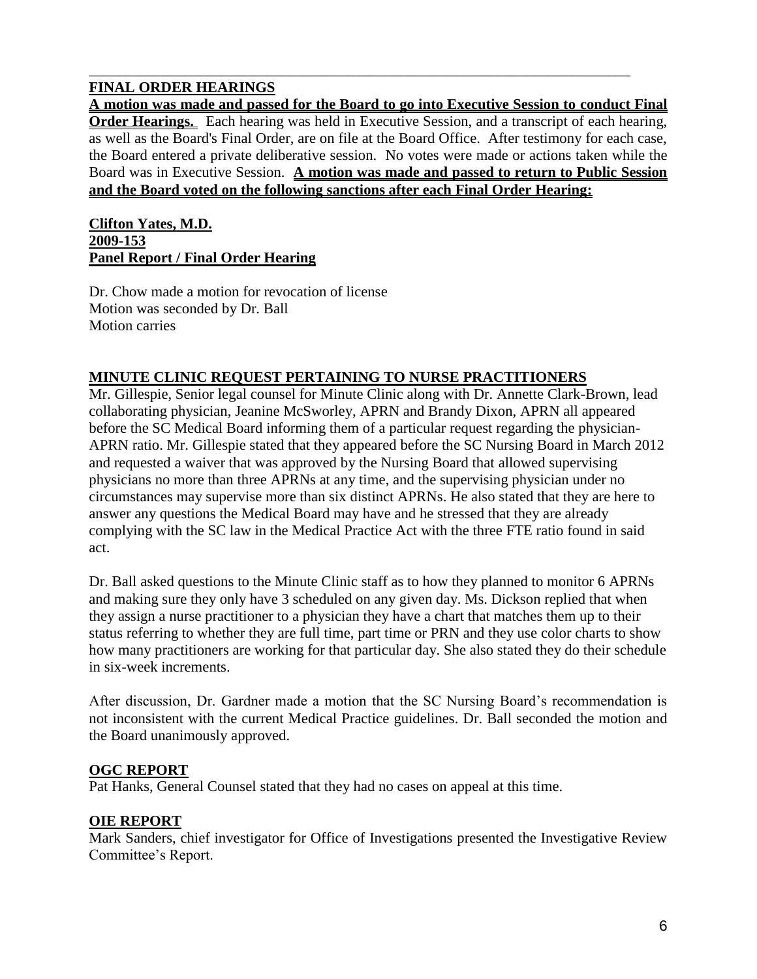# **FINAL ORDER HEARINGS**

**A motion was made and passed for the Board to go into Executive Session to conduct Final Order Hearings.** Each hearing was held in Executive Session, and a transcript of each hearing, as well as the Board's Final Order, are on file at the Board Office. After testimony for each case, the Board entered a private deliberative session. No votes were made or actions taken while the Board was in Executive Session. **A motion was made and passed to return to Public Session and the Board voted on the following sanctions after each Final Order Hearing:**

\_\_\_\_\_\_\_\_\_\_\_\_\_\_\_\_\_\_\_\_\_\_\_\_\_\_\_\_\_\_\_\_\_\_\_\_\_\_\_\_\_\_\_\_\_\_\_\_\_\_\_\_\_\_\_\_\_\_\_\_\_\_\_\_\_\_\_\_\_\_\_\_\_

#### **Clifton Yates, M.D. 2009-153 Panel Report / Final Order Hearing**

Dr. Chow made a motion for revocation of license Motion was seconded by Dr. Ball Motion carries

# **MINUTE CLINIC REQUEST PERTAINING TO NURSE PRACTITIONERS**

Mr. Gillespie, Senior legal counsel for Minute Clinic along with Dr. Annette Clark-Brown, lead collaborating physician, Jeanine McSworley, APRN and Brandy Dixon, APRN all appeared before the SC Medical Board informing them of a particular request regarding the physician-APRN ratio. Mr. Gillespie stated that they appeared before the SC Nursing Board in March 2012 and requested a waiver that was approved by the Nursing Board that allowed supervising physicians no more than three APRNs at any time, and the supervising physician under no circumstances may supervise more than six distinct APRNs. He also stated that they are here to answer any questions the Medical Board may have and he stressed that they are already complying with the SC law in the Medical Practice Act with the three FTE ratio found in said act.

Dr. Ball asked questions to the Minute Clinic staff as to how they planned to monitor 6 APRNs and making sure they only have 3 scheduled on any given day. Ms. Dickson replied that when they assign a nurse practitioner to a physician they have a chart that matches them up to their status referring to whether they are full time, part time or PRN and they use color charts to show how many practitioners are working for that particular day. She also stated they do their schedule in six-week increments.

After discussion, Dr. Gardner made a motion that the SC Nursing Board's recommendation is not inconsistent with the current Medical Practice guidelines. Dr. Ball seconded the motion and the Board unanimously approved.

## **OGC REPORT**

Pat Hanks, General Counsel stated that they had no cases on appeal at this time.

## **OIE REPORT**

Mark Sanders, chief investigator for Office of Investigations presented the Investigative Review Committee's Report.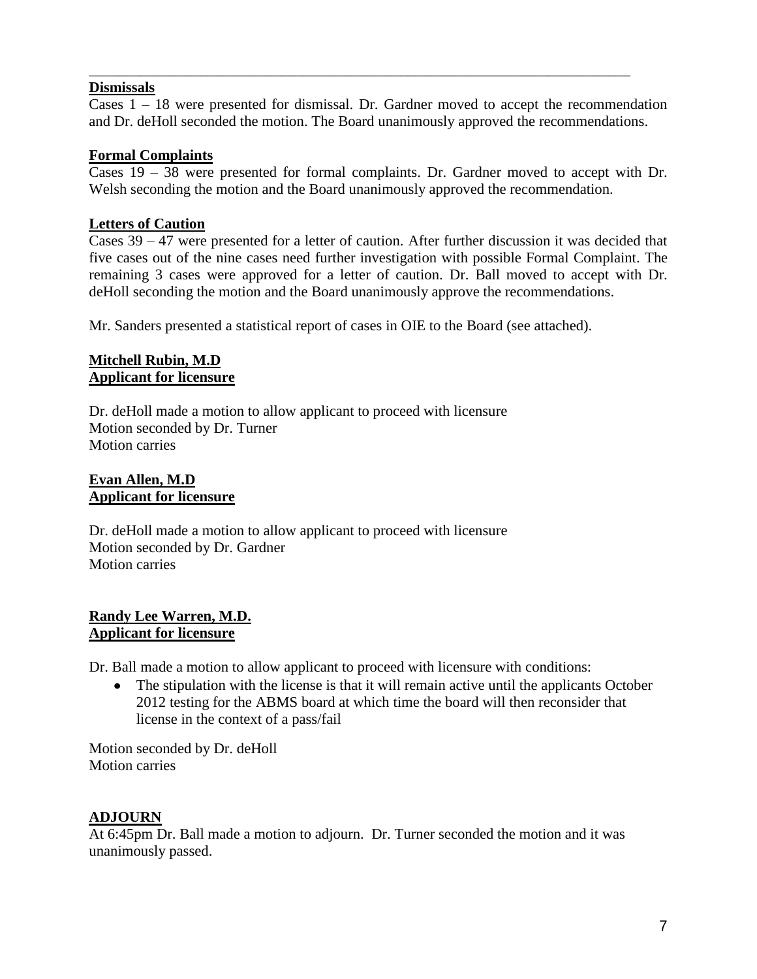### **Dismissals**

Cases 1 – 18 were presented for dismissal. Dr. Gardner moved to accept the recommendation and Dr. deHoll seconded the motion. The Board unanimously approved the recommendations.

\_\_\_\_\_\_\_\_\_\_\_\_\_\_\_\_\_\_\_\_\_\_\_\_\_\_\_\_\_\_\_\_\_\_\_\_\_\_\_\_\_\_\_\_\_\_\_\_\_\_\_\_\_\_\_\_\_\_\_\_\_\_\_\_\_\_\_\_\_\_\_\_\_

### **Formal Complaints**

Cases 19 – 38 were presented for formal complaints. Dr. Gardner moved to accept with Dr. Welsh seconding the motion and the Board unanimously approved the recommendation.

## **Letters of Caution**

Cases 39 – 47 were presented for a letter of caution. After further discussion it was decided that five cases out of the nine cases need further investigation with possible Formal Complaint. The remaining 3 cases were approved for a letter of caution. Dr. Ball moved to accept with Dr. deHoll seconding the motion and the Board unanimously approve the recommendations.

Mr. Sanders presented a statistical report of cases in OIE to the Board (see attached).

### **Mitchell Rubin, M.D Applicant for licensure**

Dr. deHoll made a motion to allow applicant to proceed with licensure Motion seconded by Dr. Turner Motion carries

### **Evan Allen, M.D Applicant for licensure**

Dr. deHoll made a motion to allow applicant to proceed with licensure Motion seconded by Dr. Gardner Motion carries

## **Randy Lee Warren, M.D. Applicant for licensure**

Dr. Ball made a motion to allow applicant to proceed with licensure with conditions:

• The stipulation with the license is that it will remain active until the applicants October 2012 testing for the ABMS board at which time the board will then reconsider that license in the context of a pass/fail

Motion seconded by Dr. deHoll Motion carries

## **ADJOURN**

At 6:45pm Dr. Ball made a motion to adjourn. Dr. Turner seconded the motion and it was unanimously passed.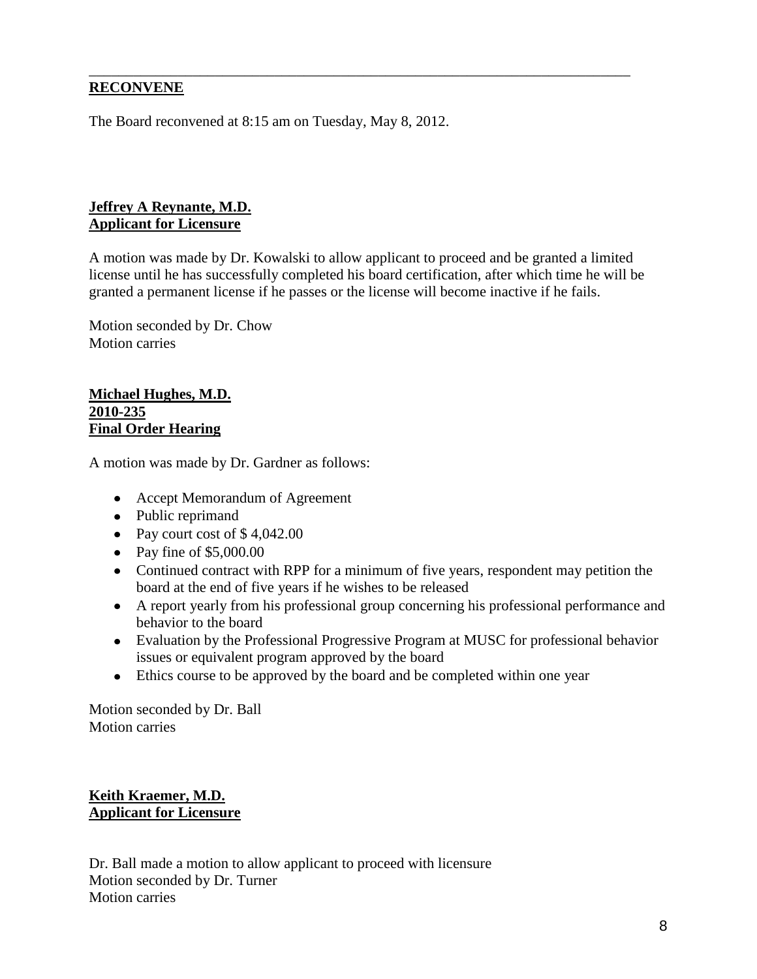## **RECONVENE**

The Board reconvened at 8:15 am on Tuesday, May 8, 2012.

## **Jeffrey A Reynante, M.D. Applicant for Licensure**

A motion was made by Dr. Kowalski to allow applicant to proceed and be granted a limited license until he has successfully completed his board certification, after which time he will be granted a permanent license if he passes or the license will become inactive if he fails.

\_\_\_\_\_\_\_\_\_\_\_\_\_\_\_\_\_\_\_\_\_\_\_\_\_\_\_\_\_\_\_\_\_\_\_\_\_\_\_\_\_\_\_\_\_\_\_\_\_\_\_\_\_\_\_\_\_\_\_\_\_\_\_\_\_\_\_\_\_\_\_\_\_

Motion seconded by Dr. Chow Motion carries

#### **Michael Hughes, M.D. 2010-235 Final Order Hearing**

A motion was made by Dr. Gardner as follows:

- Accept Memorandum of Agreement
- Public reprimand
- Pay court cost of  $$4,042.00$
- Pay fine of  $$5,000.00$
- Continued contract with RPP for a minimum of five years, respondent may petition the board at the end of five years if he wishes to be released
- A report yearly from his professional group concerning his professional performance and behavior to the board
- Evaluation by the Professional Progressive Program at MUSC for professional behavior issues or equivalent program approved by the board
- Ethics course to be approved by the board and be completed within one year

Motion seconded by Dr. Ball Motion carries

# **Keith Kraemer, M.D. Applicant for Licensure**

Dr. Ball made a motion to allow applicant to proceed with licensure Motion seconded by Dr. Turner Motion carries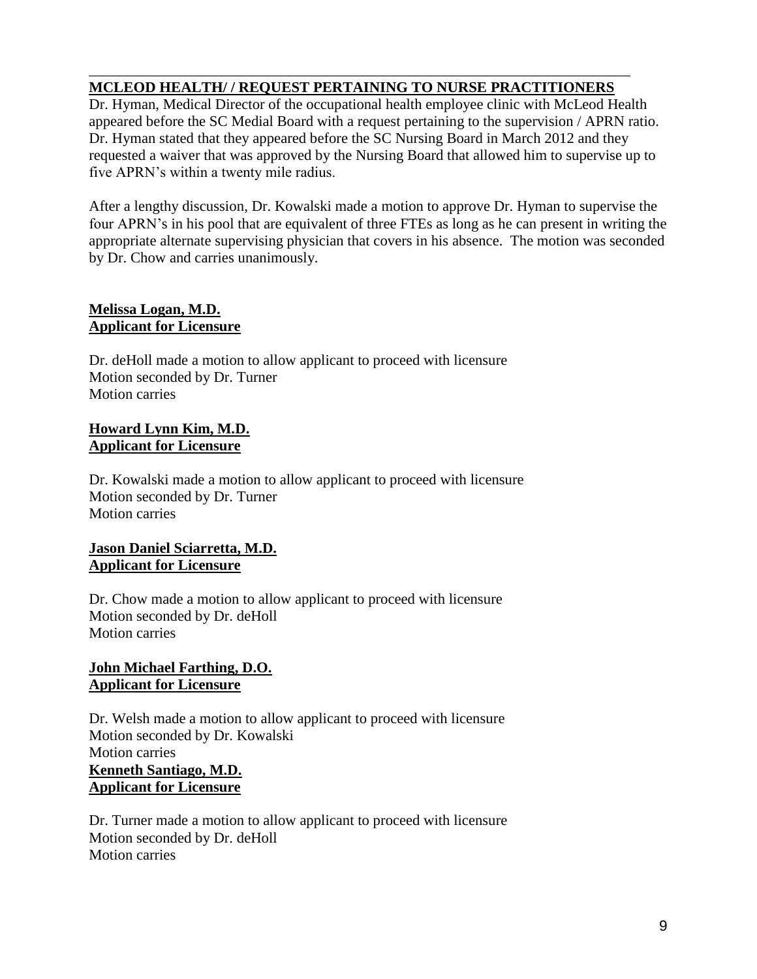#### \_\_\_\_\_\_\_\_\_\_\_\_\_\_\_\_\_\_\_\_\_\_\_\_\_\_\_\_\_\_\_\_\_\_\_\_\_\_\_\_\_\_\_\_\_\_\_\_\_\_\_\_\_\_\_\_\_\_\_\_\_\_\_\_\_\_\_\_\_\_\_\_\_ **MCLEOD HEALTH/ / REQUEST PERTAINING TO NURSE PRACTITIONERS**

Dr. Hyman, Medical Director of the occupational health employee clinic with McLeod Health appeared before the SC Medial Board with a request pertaining to the supervision / APRN ratio. Dr. Hyman stated that they appeared before the SC Nursing Board in March 2012 and they requested a waiver that was approved by the Nursing Board that allowed him to supervise up to five APRN's within a twenty mile radius.

After a lengthy discussion, Dr. Kowalski made a motion to approve Dr. Hyman to supervise the four APRN's in his pool that are equivalent of three FTEs as long as he can present in writing the appropriate alternate supervising physician that covers in his absence. The motion was seconded by Dr. Chow and carries unanimously.

## **Melissa Logan, M.D. Applicant for Licensure**

Dr. deHoll made a motion to allow applicant to proceed with licensure Motion seconded by Dr. Turner Motion carries

#### **Howard Lynn Kim, M.D. Applicant for Licensure**

Dr. Kowalski made a motion to allow applicant to proceed with licensure Motion seconded by Dr. Turner Motion carries

## **Jason Daniel Sciarretta, M.D. Applicant for Licensure**

Dr. Chow made a motion to allow applicant to proceed with licensure Motion seconded by Dr. deHoll Motion carries

## **John Michael Farthing, D.O. Applicant for Licensure**

Dr. Welsh made a motion to allow applicant to proceed with licensure Motion seconded by Dr. Kowalski Motion carries **Kenneth Santiago, M.D. Applicant for Licensure**

Dr. Turner made a motion to allow applicant to proceed with licensure Motion seconded by Dr. deHoll Motion carries